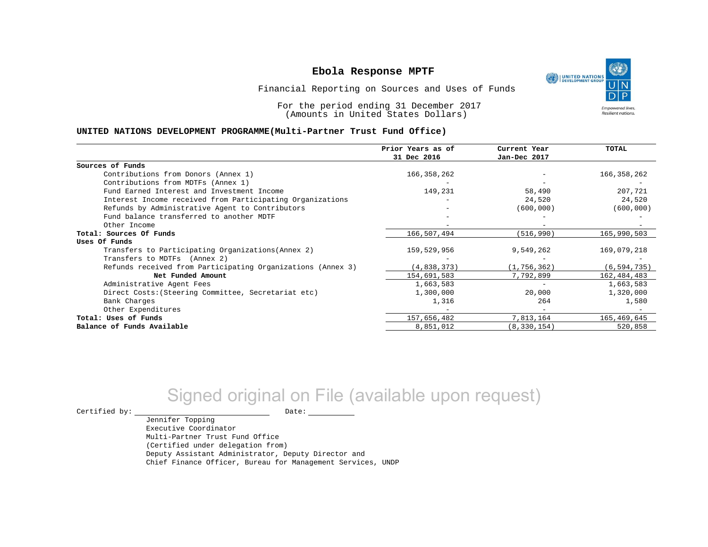

Financial Reporting on Sources and Uses of Funds

For the period ending 31 December 2017 (Amounts in United States Dollars)

#### **UNITED NATIONS DEVELOPMENT PROGRAMME(Multi-Partner Trust Fund Office)**

|                                                             | Prior Years as of<br>31 Dec 2016 | Current Year<br>Jan-Dec 2017 | <b>TOTAL</b>  |
|-------------------------------------------------------------|----------------------------------|------------------------------|---------------|
| Sources of Funds                                            |                                  |                              |               |
| Contributions from Donors (Annex 1)                         | 166, 358, 262                    |                              | 166,358,262   |
| Contributions from MDTFs (Annex 1)                          |                                  |                              |               |
| Fund Earned Interest and Investment Income                  | 149,231                          | 58,490                       | 207,721       |
| Interest Income received from Participating Organizations   |                                  | 24,520                       | 24,520        |
| Refunds by Administrative Agent to Contributors             |                                  | (600, 000)                   | (600, 000)    |
| Fund balance transferred to another MDTF                    |                                  |                              |               |
| Other Income                                                |                                  |                              |               |
| Total: Sources Of Funds                                     | 166,507,494                      | (516,990)                    | 165,990,503   |
| Uses Of Funds                                               |                                  |                              |               |
| Transfers to Participating Organizations (Annex 2)          | 159,529,956                      | 9,549,262                    | 169,079,218   |
| Transfers to MDTFs (Annex 2)                                |                                  |                              |               |
| Refunds received from Participating Organizations (Annex 3) | (4,838,373)                      | (1, 756, 362)                | (6, 594, 735) |
| Net Funded Amount                                           | 154,691,583                      | 7,792,899                    | 162,484,483   |
| Administrative Agent Fees                                   | 1,663,583                        | $-$                          | 1,663,583     |
| Direct Costs: (Steering Committee, Secretariat etc)         | 1,300,000                        | 20,000                       | 1,320,000     |
| Bank Charges                                                | 1,316                            | 264                          | 1,580         |
| Other Expenditures                                          |                                  |                              |               |
| Total: Uses of Funds                                        | 157,656,482                      | 7,813,164                    | 165,469,645   |
| Balance of Funds Available                                  | 8,851,012                        | (8, 330, 154)                | 520,858       |

## Signed original on File (available upon request)

Jennifer Topping

 $\begin{tabular}{ccccc} \multicolumn{2}{c|}{\textbf{Certified by:}} & \multicolumn{2}{c|}{\textbf{Date:}} \end{tabular}$ 

Executive Coordinator Multi-Partner Trust Fund Office (Certified under delegation from) Deputy Assistant Administrator, Deputy Director and Chief Finance Officer, Bureau for Management Services, UNDP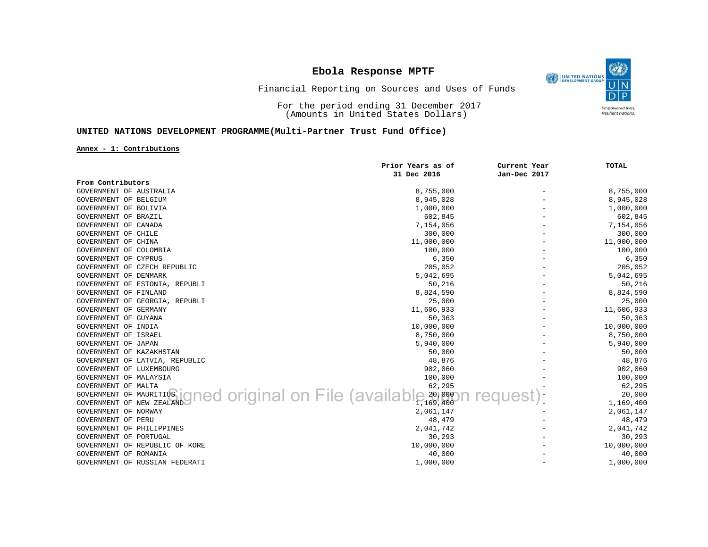O) UNITED NATIONS Empowered lives.<br>Resilient nations.

#### Financial Reporting on Sources and Uses of Funds

For the period ending 31 December 2017 (Amounts in United States Dollars)

#### **UNITED NATIONS DEVELOPMENT PROGRAMME(Multi-Partner Trust Fund Office)**

**Annex - 1: Contributions**

|                                | Prior Years as of                             | Current Year | <b>TOTAL</b> |
|--------------------------------|-----------------------------------------------|--------------|--------------|
|                                | 31 Dec 2016                                   | Jan-Dec 2017 |              |
| From Contributors              |                                               |              |              |
| GOVERNMENT OF AUSTRALIA        | 8,755,000                                     |              | 8,755,000    |
| GOVERNMENT OF BELGIUM          | 8,945,028                                     |              | 8,945,028    |
| GOVERNMENT OF BOLIVIA          | 1,000,000                                     |              | 1,000,000    |
| GOVERNMENT OF BRAZIL           | 602,845                                       |              | 602,845      |
| GOVERNMENT OF CANADA           | 7,154,056                                     |              | 7,154,056    |
| GOVERNMENT OF CHILE            | 300,000                                       |              | 300,000      |
| GOVERNMENT OF CHINA            | 11,000,000                                    |              | 11,000,000   |
| GOVERNMENT OF COLOMBIA         | 100,000                                       |              | 100,000      |
| GOVERNMENT OF CYPRUS           | 6,350                                         |              | 6,350        |
| GOVERNMENT OF CZECH REPUBLIC   | 205,052                                       |              | 205,052      |
| GOVERNMENT OF DENMARK          | 5,042,695                                     |              | 5,042,695    |
| GOVERNMENT OF ESTONIA, REPUBLI | 50,216                                        |              | 50,216       |
| GOVERNMENT OF FINLAND          | 8,824,590                                     |              | 8,824,590    |
| GOVERNMENT OF GEORGIA, REPUBLI | 25,000                                        |              | 25,000       |
| GOVERNMENT OF GERMANY          | 11,606,933                                    |              | 11,606,933   |
| GOVERNMENT OF GUYANA           | 50,363                                        |              | 50,363       |
| GOVERNMENT OF INDIA            | 10,000,000                                    |              | 10,000,000   |
| GOVERNMENT OF ISRAEL           | 8,750,000                                     |              | 8,750,000    |
| GOVERNMENT OF JAPAN            | 5,940,000                                     |              | 5,940,000    |
| GOVERNMENT OF KAZAKHSTAN       | 50,000                                        |              | 50,000       |
| GOVERNMENT OF LATVIA, REPUBLIC | 48,876                                        |              | 48,876       |
| GOVERNMENT OF LUXEMBOURG       | 902,060                                       |              | 902,060      |
| GOVERNMENT OF MALAYSIA         | 100,000                                       |              | 100,000      |
| GOVERNMENT OF MALTA            | 62,295                                        |              | 62,295       |
| GOVERNMENT OF MAURITIUS        | ned original on File (availal<br>$e^{20,000}$ |              | 20,000       |
| GOVERNMENT OF NEW ZEALAND      | 1,169,400                                     |              | 1,169,400    |
| GOVERNMENT OF NORWAY           | 2,061,147                                     |              | 2,061,147    |
| GOVERNMENT OF PERU             | 48,479                                        |              | 48,479       |
| GOVERNMENT OF PHILIPPINES      | 2,041,742                                     |              | 2,041,742    |
| GOVERNMENT OF PORTUGAL         | 30,293                                        |              | 30,293       |
| GOVERNMENT OF REPUBLIC OF KORE | 10,000,000                                    |              | 10,000,000   |
| GOVERNMENT OF ROMANIA          | 40,000                                        |              | 40,000       |
| GOVERNMENT OF RUSSIAN FEDERATI | 1,000,000                                     |              | 1,000,000    |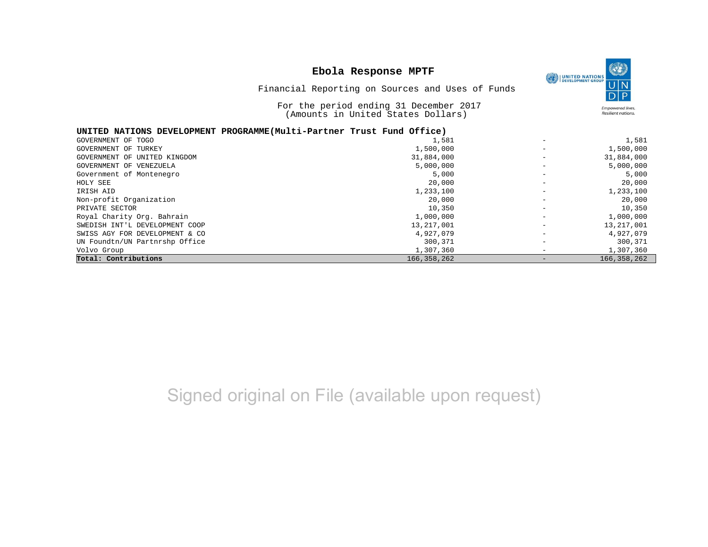|                                | Ebola Response MPTF<br>Financial Reporting on Sources and Uses of Funds<br>For the period ending 31 December 2017<br>(Amounts in United States Dollars) |                   | $\circledast$<br><b>UNITED NATIONS</b><br>DEVELOPMENT GROUP<br><b>Empowered lives.</b><br><b>Resilient nations.</b> |
|--------------------------------|---------------------------------------------------------------------------------------------------------------------------------------------------------|-------------------|---------------------------------------------------------------------------------------------------------------------|
|                                | UNITED NATIONS DEVELOPMENT PROGRAMME(Multi-Partner Trust Fund Office)                                                                                   |                   |                                                                                                                     |
| GOVERNMENT OF TOGO             | 1,581                                                                                                                                                   |                   | 1,581                                                                                                               |
| GOVERNMENT OF TURKEY           | 1,500,000                                                                                                                                               |                   | 1,500,000                                                                                                           |
| GOVERNMENT OF UNITED KINGDOM   | 31,884,000                                                                                                                                              |                   | 31,884,000                                                                                                          |
| GOVERNMENT OF VENEZUELA        | 5,000,000                                                                                                                                               |                   | 5,000,000                                                                                                           |
| Government of Montenegro       | 5,000                                                                                                                                                   |                   | 5,000                                                                                                               |
| HOLY SEE                       | 20,000                                                                                                                                                  |                   | 20,000                                                                                                              |
| IRISH AID                      | 1,233,100                                                                                                                                               |                   | 1,233,100                                                                                                           |
| Non-profit Organization        | 20,000                                                                                                                                                  |                   | 20,000                                                                                                              |
| PRIVATE SECTOR                 | 10,350                                                                                                                                                  |                   | 10,350                                                                                                              |
| Royal Charity Org. Bahrain     | 1,000,000                                                                                                                                               |                   | 1,000,000                                                                                                           |
| SWEDISH INT'L DEVELOPMENT COOP | 13, 217, 001                                                                                                                                            |                   | 13, 217, 001                                                                                                        |
| SWISS AGY FOR DEVELOPMENT & CO | 4,927,079                                                                                                                                               |                   | 4,927,079                                                                                                           |
| UN Foundtn/UN Partnrshp Office | 300,371                                                                                                                                                 |                   | 300,371                                                                                                             |
| Volvo Group                    | 1,307,360                                                                                                                                               |                   | 1,307,360                                                                                                           |
| Total: Contributions           | 166, 358, 262                                                                                                                                           | $\qquad \qquad -$ | 166, 358, 262                                                                                                       |

# Signed original on File (available upon request)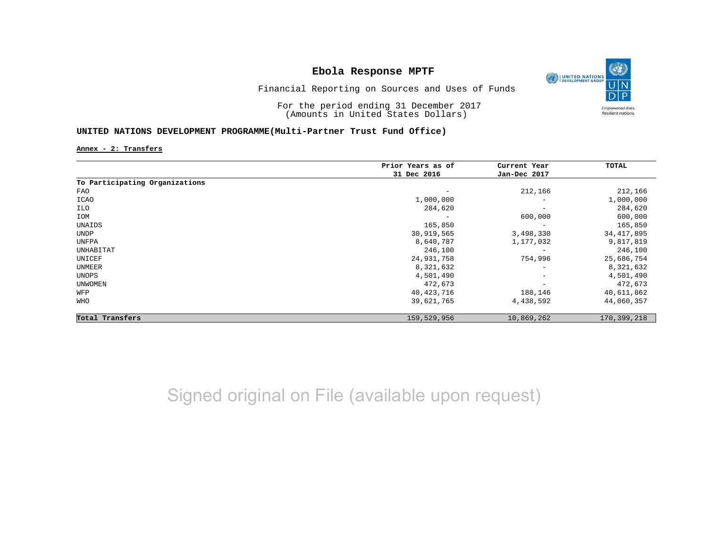

Financial Reporting on Sources and Uses of Funds

For the period ending 31 December 2017 (Amounts in United States Dollars)

#### **UNITED NATIONS DEVELOPMENT PROGRAMME(Multi-Partner Trust Fund Office)**

**Annex - 2: Transfers**

|                                | Prior Years as of | Current Year             | TOTAL        |
|--------------------------------|-------------------|--------------------------|--------------|
|                                | 31 Dec 2016       | Jan-Dec 2017             |              |
| To Participating Organizations |                   |                          |              |
| FAO                            | -                 | 212,166                  | 212,166      |
| ICAO                           | 1,000,000         | $\overline{\phantom{0}}$ | 1,000,000    |
| ILO                            | 284,620           | $\overline{\phantom{m}}$ | 284,620      |
| IOM                            | -                 | 600,000                  | 600,000      |
| UNAIDS                         | 165,850           | $\overline{\phantom{m}}$ | 165,850      |
| UNDP                           | 30,919,565        | 3,498,330                | 34, 417, 895 |
| UNFPA                          | 8,640,787         | 1,177,032                | 9,817,819    |
| UNHABITAT                      | 246,100           |                          | 246,100      |
| UNICEF                         | 24,931,758        | 754,996                  | 25,686,754   |
| UNMEER                         | 8,321,632         | $\overline{\phantom{m}}$ | 8,321,632    |
| UNOPS                          | 4,501,490         | $\overline{\phantom{m}}$ | 4,501,490    |
| <b>UNWOMEN</b>                 | 472,673           | $\qquad \qquad -$        | 472,673      |
| WFP                            | 40,423,716        | 188,146                  | 40,611,862   |
| <b>WHO</b>                     | 39,621,765        | 4,438,592                | 44,060,357   |
| Total Transfers                | 159,529,956       | 10,869,262               | 170,399,218  |

## Signed original on File (available upon request)